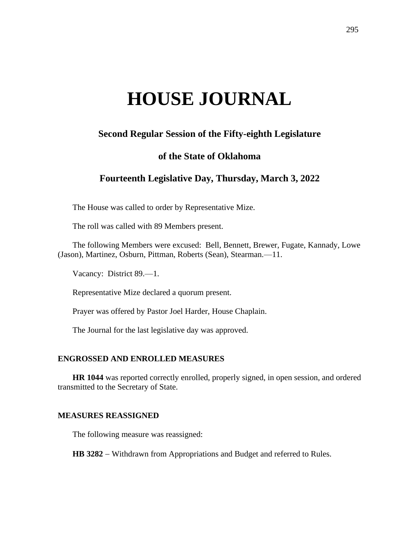# **HOUSE JOURNAL**

## **Second Regular Session of the Fifty-eighth Legislature**

### **of the State of Oklahoma**

## **Fourteenth Legislative Day, Thursday, March 3, 2022**

The House was called to order by Representative Mize.

The roll was called with 89 Members present.

The following Members were excused: Bell, Bennett, Brewer, Fugate, Kannady, Lowe (Jason), Martinez, Osburn, Pittman, Roberts (Sean), Stearman.—11.

Vacancy: District 89.—1.

Representative Mize declared a quorum present.

Prayer was offered by Pastor Joel Harder, House Chaplain.

The Journal for the last legislative day was approved.

#### **ENGROSSED AND ENROLLED MEASURES**

**HR 1044** was reported correctly enrolled, properly signed, in open session, and ordered transmitted to the Secretary of State.

#### **MEASURES REASSIGNED**

The following measure was reassigned:

HB 3282 − Withdrawn from Appropriations and Budget and referred to Rules.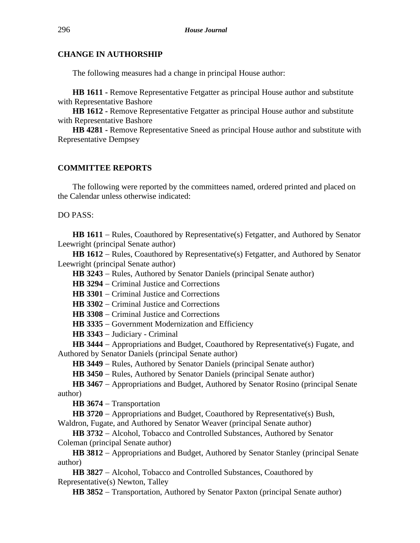#### **CHANGE IN AUTHORSHIP**

The following measures had a change in principal House author:

**HB 1611 -** Remove Representative Fetgatter as principal House author and substitute with Representative Bashore

**HB 1612 -** Remove Representative Fetgatter as principal House author and substitute with Representative Bashore

**HB 4281 -** Remove Representative Sneed as principal House author and substitute with Representative Dempsey

#### **COMMITTEE REPORTS**

The following were reported by the committees named, ordered printed and placed on the Calendar unless otherwise indicated:

DO PASS:

**HB 1611** − Rules, Coauthored by Representative(s) Fetgatter, and Authored by Senator Leewright (principal Senate author)

**HB 1612** − Rules, Coauthored by Representative(s) Fetgatter, and Authored by Senator Leewright (principal Senate author)

**HB 3243** − Rules, Authored by Senator Daniels (principal Senate author)

**HB 3294** − Criminal Justice and Corrections

**HB 3301** − Criminal Justice and Corrections

**HB 3302** − Criminal Justice and Corrections

**HB 3308** − Criminal Justice and Corrections

**HB 3335** − Government Modernization and Efficiency

**HB 3343** − Judiciary - Criminal

**HB 3444** − Appropriations and Budget, Coauthored by Representative(s) Fugate, and Authored by Senator Daniels (principal Senate author)

HB 3449 – Rules, Authored by Senator Daniels (principal Senate author)

**HB 3450** − Rules, Authored by Senator Daniels (principal Senate author)

**HB 3467** − Appropriations and Budget, Authored by Senator Rosino (principal Senate author)

**HB 3674** − Transportation

**HB 3720** − Appropriations and Budget, Coauthored by Representative(s) Bush, Waldron, Fugate, and Authored by Senator Weaver (principal Senate author)

**HB 3732** − Alcohol, Tobacco and Controlled Substances, Authored by Senator Coleman (principal Senate author)

**HB 3812** − Appropriations and Budget, Authored by Senator Stanley (principal Senate author)

**HB 3827** − Alcohol, Tobacco and Controlled Substances, Coauthored by Representative(s) Newton, Talley

**HB 3852** − Transportation, Authored by Senator Paxton (principal Senate author)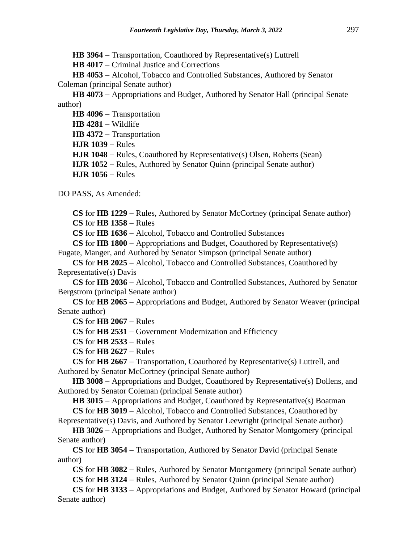**HB 3964** − Transportation, Coauthored by Representative(s) Luttrell

**HB 4017** − Criminal Justice and Corrections

**HB 4053** − Alcohol, Tobacco and Controlled Substances, Authored by Senator Coleman (principal Senate author)

**HB 4073** − Appropriations and Budget, Authored by Senator Hall (principal Senate author)

**HB 4096** − Transportation **HB 4281** − Wildlife **HB 4372** − Transportation **HJR 1039** − Rules **HJR 1048** − Rules, Coauthored by Representative(s) Olsen, Roberts (Sean) **HJR 1052** − Rules, Authored by Senator Quinn (principal Senate author) **HJR 1056** − Rules

DO PASS, As Amended:

**CS** for **HB 1229** − Rules, Authored by Senator McCortney (principal Senate author) **CS** for **HB 1358** − Rules

**CS** for **HB 1636** − Alcohol, Tobacco and Controlled Substances

**CS** for **HB 1800** − Appropriations and Budget, Coauthored by Representative(s) Fugate, Manger, and Authored by Senator Simpson (principal Senate author)

**CS** for **HB 2025** − Alcohol, Tobacco and Controlled Substances, Coauthored by Representative(s) Davis

**CS** for **HB 2036** − Alcohol, Tobacco and Controlled Substances, Authored by Senator Bergstrom (principal Senate author)

**CS** for **HB 2065** − Appropriations and Budget, Authored by Senator Weaver (principal Senate author)

**CS** for **HB 2067** − Rules

**CS** for **HB 2531** − Government Modernization and Efficiency

**CS** for **HB 2533** − Rules

**CS** for **HB 2627** − Rules

**CS** for **HB 2667** − Transportation, Coauthored by Representative(s) Luttrell, and Authored by Senator McCortney (principal Senate author)

**HB 3008** − Appropriations and Budget, Coauthored by Representative(s) Dollens, and Authored by Senator Coleman (principal Senate author)

**HB 3015** − Appropriations and Budget, Coauthored by Representative(s) Boatman **CS** for **HB 3019** − Alcohol, Tobacco and Controlled Substances, Coauthored by

Representative(s) Davis, and Authored by Senator Leewright (principal Senate author)

**HB 3026** − Appropriations and Budget, Authored by Senator Montgomery (principal Senate author)

**CS** for **HB 3054** − Transportation, Authored by Senator David (principal Senate author)

**CS** for **HB 3082** − Rules, Authored by Senator Montgomery (principal Senate author) **CS** for **HB 3124** − Rules, Authored by Senator Quinn (principal Senate author)

**CS** for **HB 3133** − Appropriations and Budget, Authored by Senator Howard (principal Senate author)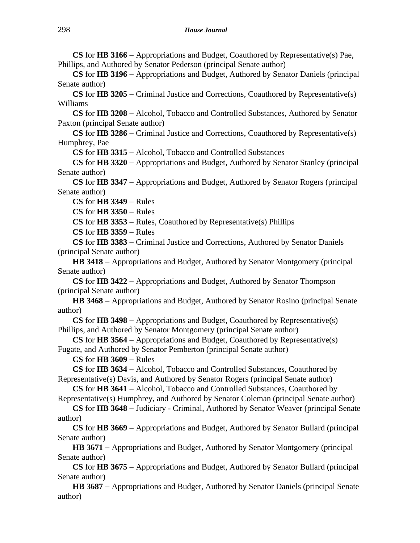**CS** for **HB 3166** − Appropriations and Budget, Coauthored by Representative(s) Pae, Phillips, and Authored by Senator Pederson (principal Senate author)

**CS** for **HB 3196** − Appropriations and Budget, Authored by Senator Daniels (principal Senate author)

**CS** for **HB 3205** − Criminal Justice and Corrections, Coauthored by Representative(s) Williams

**CS** for **HB 3208** − Alcohol, Tobacco and Controlled Substances, Authored by Senator Paxton (principal Senate author)

**CS** for **HB 3286** − Criminal Justice and Corrections, Coauthored by Representative(s) Humphrey, Pae

**CS** for **HB 3315** − Alcohol, Tobacco and Controlled Substances

**CS** for **HB 3320** − Appropriations and Budget, Authored by Senator Stanley (principal Senate author)

**CS** for **HB 3347** − Appropriations and Budget, Authored by Senator Rogers (principal Senate author)

**CS** for **HB 3349** − Rules

**CS** for **HB 3350** − Rules

**CS** for **HB 3353** − Rules, Coauthored by Representative(s) Phillips

**CS** for **HB 3359** − Rules

**CS** for **HB 3383** − Criminal Justice and Corrections, Authored by Senator Daniels (principal Senate author)

**HB 3418** − Appropriations and Budget, Authored by Senator Montgomery (principal Senate author)

**CS** for **HB 3422** − Appropriations and Budget, Authored by Senator Thompson (principal Senate author)

**HB 3468** − Appropriations and Budget, Authored by Senator Rosino (principal Senate author)

**CS** for **HB 3498** − Appropriations and Budget, Coauthored by Representative(s) Phillips, and Authored by Senator Montgomery (principal Senate author)

**CS** for **HB 3564** − Appropriations and Budget, Coauthored by Representative(s) Fugate, and Authored by Senator Pemberton (principal Senate author)

**CS** for **HB 3609** − Rules

**CS** for **HB 3634** − Alcohol, Tobacco and Controlled Substances, Coauthored by Representative(s) Davis, and Authored by Senator Rogers (principal Senate author)

**CS** for **HB 3641** − Alcohol, Tobacco and Controlled Substances, Coauthored by Representative(s) Humphrey, and Authored by Senator Coleman (principal Senate author)

**CS** for **HB 3648** − Judiciary - Criminal, Authored by Senator Weaver (principal Senate author)

**CS** for **HB 3669** − Appropriations and Budget, Authored by Senator Bullard (principal Senate author)

HB 3671 – Appropriations and Budget, Authored by Senator Montgomery (principal Senate author)

**CS** for **HB 3675** − Appropriations and Budget, Authored by Senator Bullard (principal Senate author)

**HB 3687** − Appropriations and Budget, Authored by Senator Daniels (principal Senate author)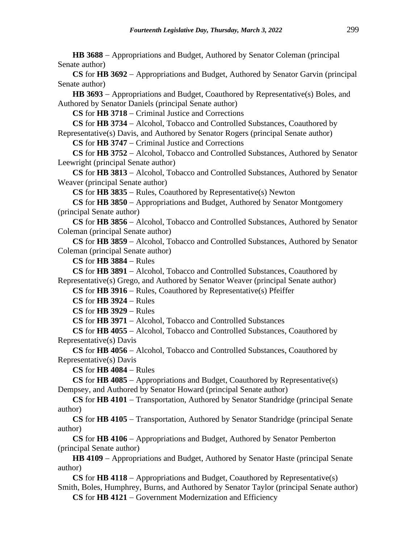**HB 3688** − Appropriations and Budget, Authored by Senator Coleman (principal Senate author)

**CS** for **HB 3692** − Appropriations and Budget, Authored by Senator Garvin (principal Senate author)

HB 3693 – Appropriations and Budget, Coauthored by Representative(s) Boles, and Authored by Senator Daniels (principal Senate author)

**CS** for **HB 3718** − Criminal Justice and Corrections

**CS** for **HB 3734** − Alcohol, Tobacco and Controlled Substances, Coauthored by Representative(s) Davis, and Authored by Senator Rogers (principal Senate author)

**CS** for **HB 3747** − Criminal Justice and Corrections

**CS** for **HB 3752** − Alcohol, Tobacco and Controlled Substances, Authored by Senator Leewright (principal Senate author)

**CS** for **HB 3813** − Alcohol, Tobacco and Controlled Substances, Authored by Senator Weaver (principal Senate author)

**CS** for **HB 3835** − Rules, Coauthored by Representative(s) Newton

**CS** for **HB 3850** − Appropriations and Budget, Authored by Senator Montgomery (principal Senate author)

**CS** for **HB 3856** − Alcohol, Tobacco and Controlled Substances, Authored by Senator Coleman (principal Senate author)

**CS** for **HB 3859** − Alcohol, Tobacco and Controlled Substances, Authored by Senator Coleman (principal Senate author)

**CS** for **HB 3884** − Rules

**CS** for **HB 3891** − Alcohol, Tobacco and Controlled Substances, Coauthored by Representative(s) Grego, and Authored by Senator Weaver (principal Senate author)

**CS** for **HB 3916** − Rules, Coauthored by Representative(s) Pfeiffer

**CS** for **HB 3924** − Rules

**CS** for **HB 3929** − Rules

**CS** for **HB 3971** − Alcohol, Tobacco and Controlled Substances

**CS** for **HB 4055** − Alcohol, Tobacco and Controlled Substances, Coauthored by Representative(s) Davis

**CS** for **HB 4056** − Alcohol, Tobacco and Controlled Substances, Coauthored by Representative(s) Davis

**CS** for **HB 4084** − Rules

**CS** for **HB 4085** − Appropriations and Budget, Coauthored by Representative(s) Dempsey, and Authored by Senator Howard (principal Senate author)

**CS** for **HB 4101** − Transportation, Authored by Senator Standridge (principal Senate author)

**CS** for **HB 4105** − Transportation, Authored by Senator Standridge (principal Senate author)

**CS** for **HB 4106** − Appropriations and Budget, Authored by Senator Pemberton (principal Senate author)

**HB 4109** − Appropriations and Budget, Authored by Senator Haste (principal Senate author)

**CS** for **HB 4118** − Appropriations and Budget, Coauthored by Representative(s) Smith, Boles, Humphrey, Burns, and Authored by Senator Taylor (principal Senate author)

**CS** for **HB 4121** − Government Modernization and Efficiency